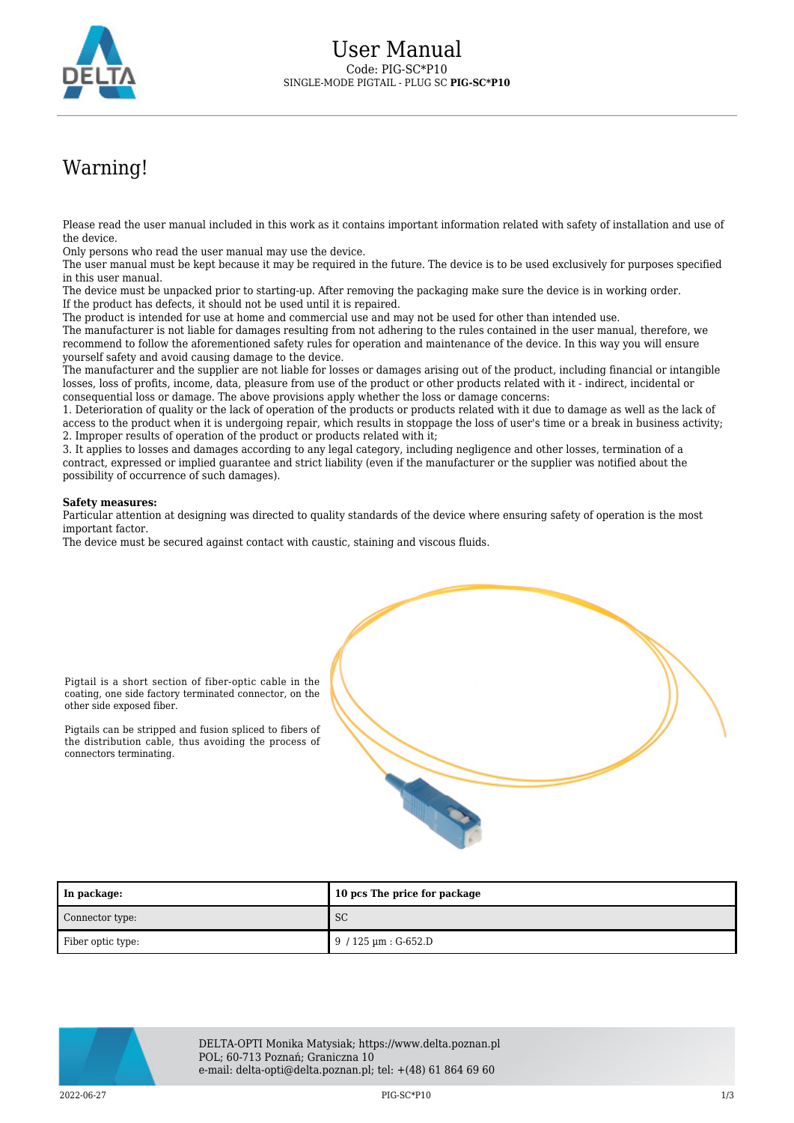

## Warning!

Please read the user manual included in this work as it contains important information related with safety of installation and use of the device.

Only persons who read the user manual may use the device.

The user manual must be kept because it may be required in the future. The device is to be used exclusively for purposes specified in this user manual.

The device must be unpacked prior to starting-up. After removing the packaging make sure the device is in working order. If the product has defects, it should not be used until it is repaired.

The product is intended for use at home and commercial use and may not be used for other than intended use.

The manufacturer is not liable for damages resulting from not adhering to the rules contained in the user manual, therefore, we recommend to follow the aforementioned safety rules for operation and maintenance of the device. In this way you will ensure yourself safety and avoid causing damage to the device.

The manufacturer and the supplier are not liable for losses or damages arising out of the product, including financial or intangible losses, loss of profits, income, data, pleasure from use of the product or other products related with it - indirect, incidental or consequential loss or damage. The above provisions apply whether the loss or damage concerns:

1. Deterioration of quality or the lack of operation of the products or products related with it due to damage as well as the lack of access to the product when it is undergoing repair, which results in stoppage the loss of user's time or a break in business activity; 2. Improper results of operation of the product or products related with it;

3. It applies to losses and damages according to any legal category, including negligence and other losses, termination of a contract, expressed or implied guarantee and strict liability (even if the manufacturer or the supplier was notified about the possibility of occurrence of such damages).

## **Safety measures:**

Particular attention at designing was directed to quality standards of the device where ensuring safety of operation is the most important factor.

The device must be secured against contact with caustic, staining and viscous fluids.



Pigtail is a short section of fiber-optic cable in the coating, one side factory terminated connector, on the other side exposed fiber.

Pigtails can be stripped and fusion spliced to fibers of the distribution cable, thus avoiding the process of connectors terminating.

| In package:       | 10 pcs The price for package         |
|-------------------|--------------------------------------|
| Connector type:   | <sub>SC</sub>                        |
| Fiber optic type: | $9/125 \,\mathrm{\upmu m}$ : G-652.D |



DELTA-OPTI Monika Matysiak; https://www.delta.poznan.pl POL; 60-713 Poznań; Graniczna 10 e-mail: delta-opti@delta.poznan.pl; tel: +(48) 61 864 69 60

 $PIG-SC*P10$  and  $PIG-SC*P10$  and  $PIG-SC*P10$  and  $PIG-SC*P10$  and  $PIG-SC*P10$  and  $PIG-SC*P10$  and  $PIG-SC*P10$  and  $PIG-SC*P10$  and  $PIG-SC*P10$  and  $PIG-SC*P10$  and  $PIG-SC*P10$  and  $PIG-SC*P10$  and  $PIG-SC*P10$  and  $PIG-SC*P10$  and  $PIG-SC*P10$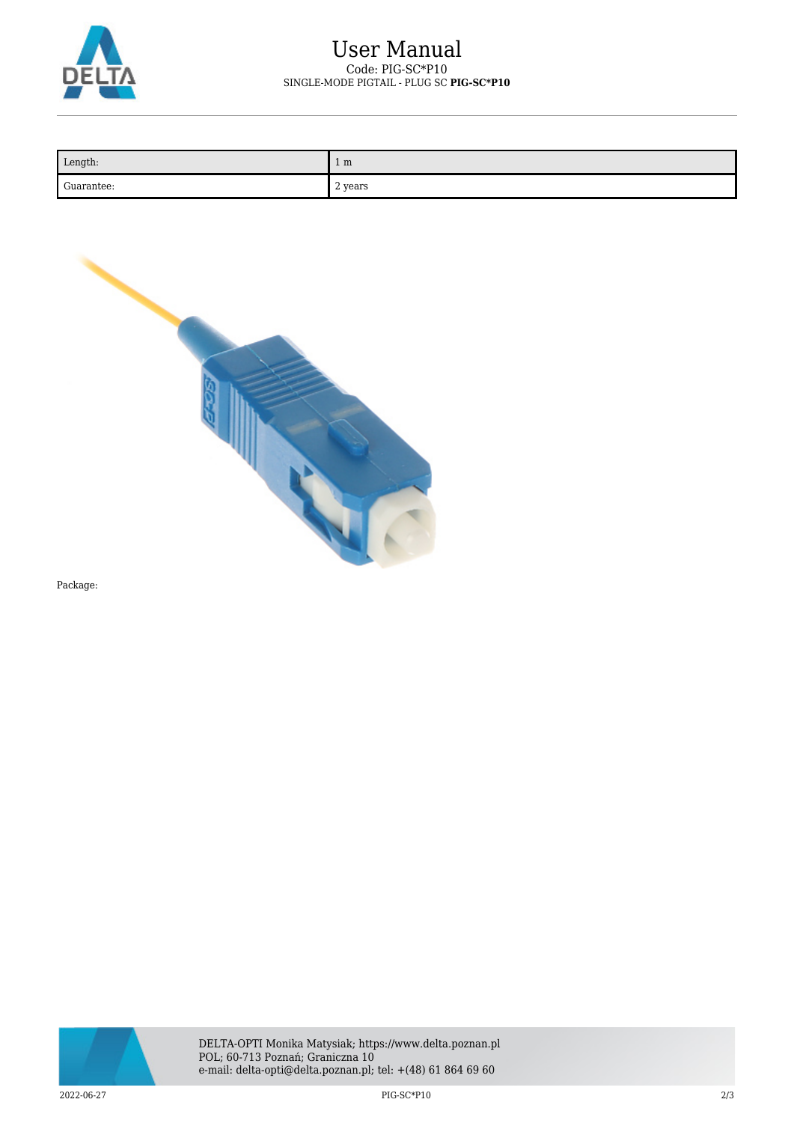

| Length:    | 1 <sub>m</sub> |
|------------|----------------|
| Guarantee: | 2 years        |



Package: